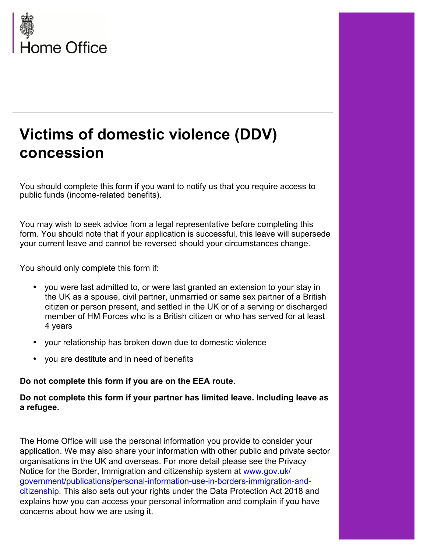

# **Victims of domestic violence (DDV) concession**

You should complete this form if you want to notify us that you require access to public funds (income-related benefits).

You may wish to seek advice from a legal representative before completing this form. You should note that if your application is successful, this leave will supersede your current leave and cannot be reversed should your circumstances change.

You should only complete this form if:

- you were last admitted to, or were last granted an extension to your stay in the UK as a spouse, civil partner, unmarried or same sex partner of a British citizen or person present, and settled in the UK or of a serving or discharged member of HM Forces who is a British citizen or who has served for at least 4 years
- your relationship has broken down due to domestic violence
- you are destitute and in need of benefits

**Do not complete this form if you are on the EEA route.** 

**Do not complete this form if your partner has limited leave. Including leave as a refugee.** 

The Home Office will use the personal information you provide to consider your application. We may also share your information with other public and private sector organisations in the UK and overseas. For more detail please see the Privacy Notice for the Border, Immigration and citizenship system at [www.gov.uk/](https://www.gov.uk/government/publications/personal-information-use-in-borders-immigration-and-citizenship) [government/publications/personal-information-use-in-borders-immigration-and](https://www.gov.uk/government/publications/personal-information-use-in-borders-immigration-and-citizenship)[citizenship](https://www.gov.uk/government/publications/personal-information-use-in-borders-immigration-and-citizenship). This also sets out your rights under the Data Protection Act 2018 and explains how you can access your personal information and complain if you have concerns about how we are using it.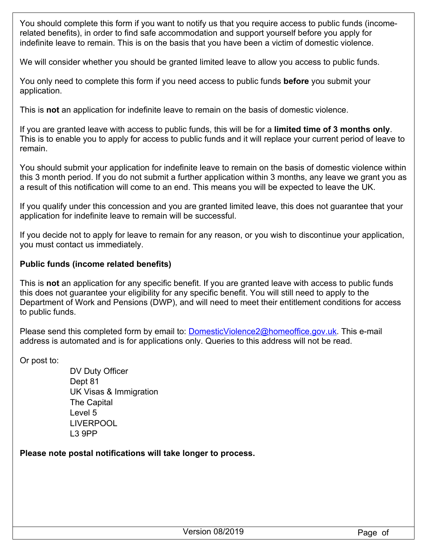You should complete this form if you want to notify us that you require access to public funds (incomerelated benefits), in order to find safe accommodation and support yourself before you apply for indefinite leave to remain. This is on the basis that you have been a victim of domestic violence.

We will consider whether you should be granted limited leave to allow you access to public funds.

You only need to complete this form if you need access to public funds **before** you submit your application.

This is **not** an application for indefinite leave to remain on the basis of domestic violence.

If you are granted leave with access to public funds, this will be for a **limited time of 3 months only**. This is to enable you to apply for access to public funds and it will replace your current period of leave to remain.

You should submit your application for indefinite leave to remain on the basis of domestic violence within this 3 month period. If you do not submit a further application within 3 months, any leave we grant you as a result of this notification will come to an end. This means you will be expected to leave the UK.

If you qualify under this concession and you are granted limited leave, this does not guarantee that your application for indefinite leave to remain will be successful.

If you decide not to apply for leave to remain for any reason, or you wish to discontinue your application, you must contact us immediately.

#### **Public funds (income related benefits)**

This is **not** an application for any specific benefit. If you are granted leave with access to public funds this does not guarantee your eligibility for any specific benefit. You will still need to apply to the Department of Work and Pensions (DWP), and will need to meet their entitlement conditions for access to public funds.

Please send this completed form by email to: [DomesticViolence2@homeoffice.gov.uk.](mailto:DomesticViolence2@homeoffice.gov.uk) This e-mail address is automated and is for applications only. Queries to this address will not be read.

Or post to:

DV Duty Officer Dept 81 UK Visas & Immigration The Capital Level 5 LIVERPOOL L3 9PP

**Please note postal notifications will take longer to process.**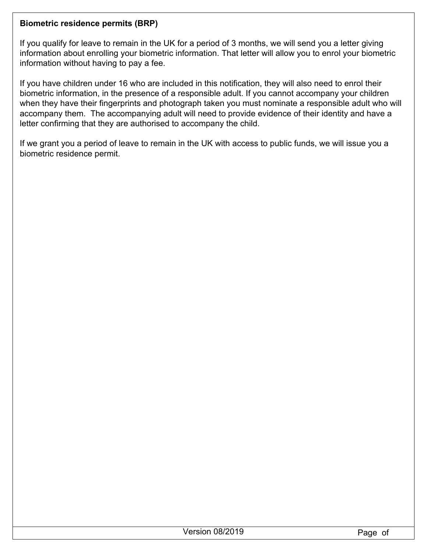## **Biometric residence permits (BRP)**

If you qualify for leave to remain in the UK for a period of 3 months, we will send you a letter giving information about enrolling your biometric information. That letter will allow you to enrol your biometric information without having to pay a fee.

If you have children under 16 who are included in this notification, they will also need to enrol their biometric information, in the presence of a responsible adult. If you cannot accompany your children when they have their fingerprints and photograph taken you must nominate a responsible adult who will accompany them. The accompanying adult will need to provide evidence of their identity and have a letter confirming that they are authorised to accompany the child.

If we grant you a period of leave to remain in the UK with access to public funds, we will issue you a biometric residence permit.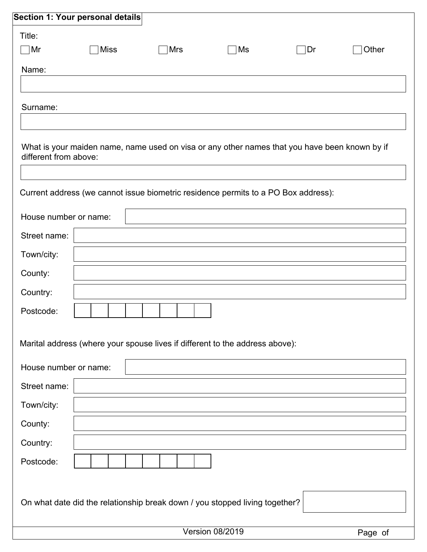|                       | Section 1: Your personal details                                                              |     |                        |     |         |
|-----------------------|-----------------------------------------------------------------------------------------------|-----|------------------------|-----|---------|
| Title:                |                                                                                               |     |                        |     |         |
| ∣Mr                   | <b>Miss</b>                                                                                   | Mrs | Ms                     | ∣Dr | Other   |
| Name:                 |                                                                                               |     |                        |     |         |
|                       |                                                                                               |     |                        |     |         |
| Surname:              |                                                                                               |     |                        |     |         |
|                       |                                                                                               |     |                        |     |         |
|                       | What is your maiden name, name used on visa or any other names that you have been known by if |     |                        |     |         |
| different from above: |                                                                                               |     |                        |     |         |
|                       |                                                                                               |     |                        |     |         |
|                       | Current address (we cannot issue biometric residence permits to a PO Box address):            |     |                        |     |         |
| House number or name: |                                                                                               |     |                        |     |         |
| Street name:          |                                                                                               |     |                        |     |         |
| Town/city:            |                                                                                               |     |                        |     |         |
| County:               |                                                                                               |     |                        |     |         |
| Country:              |                                                                                               |     |                        |     |         |
| Postcode:             |                                                                                               |     |                        |     |         |
|                       |                                                                                               |     |                        |     |         |
|                       | Marital address (where your spouse lives if different to the address above):                  |     |                        |     |         |
| House number or name: |                                                                                               |     |                        |     |         |
| Street name:          |                                                                                               |     |                        |     |         |
| Town/city:            |                                                                                               |     |                        |     |         |
| County:               |                                                                                               |     |                        |     |         |
| Country:              |                                                                                               |     |                        |     |         |
| Postcode:             |                                                                                               |     |                        |     |         |
|                       |                                                                                               |     |                        |     |         |
|                       | On what date did the relationship break down / you stopped living together?                   |     |                        |     |         |
|                       |                                                                                               |     |                        |     |         |
|                       |                                                                                               |     | <b>Version 08/2019</b> |     | Page of |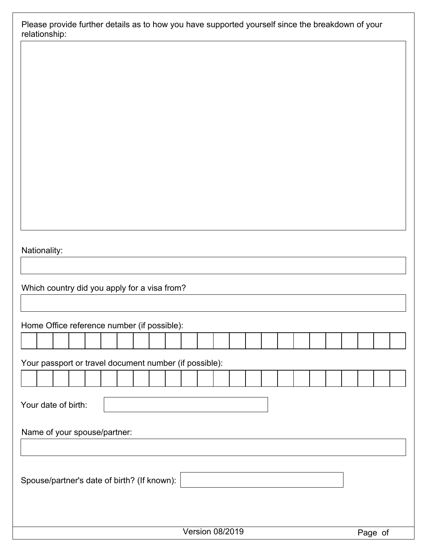| Please provide further details as to how you have supported yourself since the breakdown of your |  |
|--------------------------------------------------------------------------------------------------|--|
| relationship:                                                                                    |  |

Which country did you apply for a visa from?

Home Office reference number (if possible):

| and the contract of the contract of the contract of the contract of the contract of the contract of the contract of<br>the contract of the contract of the contract of the contract of the contract of the contract of the contract of<br>and the contract of the contract of the contract of the contract of the contract of the contract of<br>the contract of the contract of the contract of the contract of the contract of<br>the contract of the contract of the contract of the contract of the contract of the contract of the contract of<br>the contract of the contract of the contract of the contract of the contract of |  |  |  |  |  |  |  |  |  |  |  |  |  |
|----------------------------------------------------------------------------------------------------------------------------------------------------------------------------------------------------------------------------------------------------------------------------------------------------------------------------------------------------------------------------------------------------------------------------------------------------------------------------------------------------------------------------------------------------------------------------------------------------------------------------------------|--|--|--|--|--|--|--|--|--|--|--|--|--|
|                                                                                                                                                                                                                                                                                                                                                                                                                                                                                                                                                                                                                                        |  |  |  |  |  |  |  |  |  |  |  |  |  |
|                                                                                                                                                                                                                                                                                                                                                                                                                                                                                                                                                                                                                                        |  |  |  |  |  |  |  |  |  |  |  |  |  |

Your passport or travel document number (if possible):

Your date of birth:

Name of your spouse/partner:

Spouse/partner's date of birth? (If known):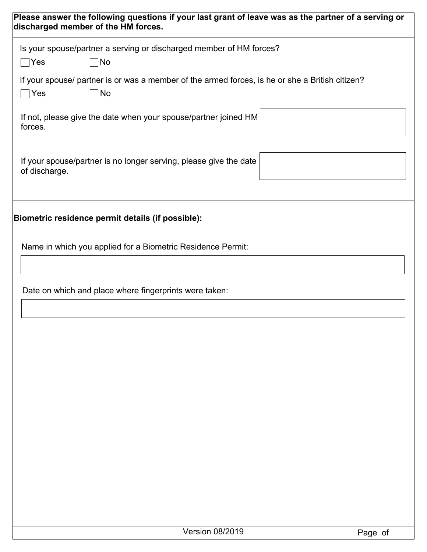| Please answer the following questions if your last grant of leave was as the partner of a serving or<br>discharged member of the HM forces. |
|---------------------------------------------------------------------------------------------------------------------------------------------|
| Is your spouse/partner a serving or discharged member of HM forces?<br>$\bigcap$ Yes<br> No                                                 |
| If your spouse/ partner is or was a member of the armed forces, is he or she a British citizen?<br>No<br>$\bigcap$ Yes                      |
| If not, please give the date when your spouse/partner joined HM<br>forces.                                                                  |
| If your spouse/partner is no longer serving, please give the date<br>of discharge.                                                          |
| Biometric residence permit details (if possible):                                                                                           |
| Name in which you applied for a Biometric Residence Permit:                                                                                 |
| Date on which and place where fingerprints were taken:                                                                                      |
|                                                                                                                                             |
|                                                                                                                                             |
|                                                                                                                                             |
|                                                                                                                                             |
|                                                                                                                                             |
|                                                                                                                                             |

Version 08/2019 Page of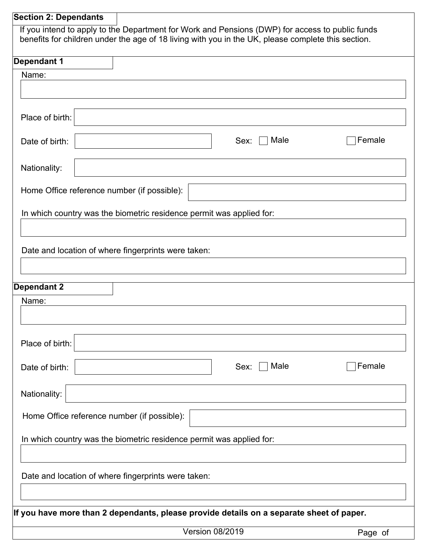# Version 08/2019 **Page of Section 2: Dependants** If you intend to apply to the Department for Work and Pensions (DWP) for access to public funds benefits for children under the age of 18 living with you in the UK, please complete this section. Name: Place of birth: Date of birth:  $\vert$  Sex:  $\Box$  Male Nationality: Home Office reference number (if possible): In which country was the biometric residence permit was applied for: Date and location of where fingerprints were taken:  $\Box$  Female **Dependant 1** Name: Place of birth: Date of birth: Sex: Male Nationality: Home Office reference number (if possible): In which country was the biometric residence permit was applied for: Date and location of where fingerprints were taken:  $\Box$  Female **Dependant 2 If you have more than 2 dependants, please provide details on a separate sheet of paper.**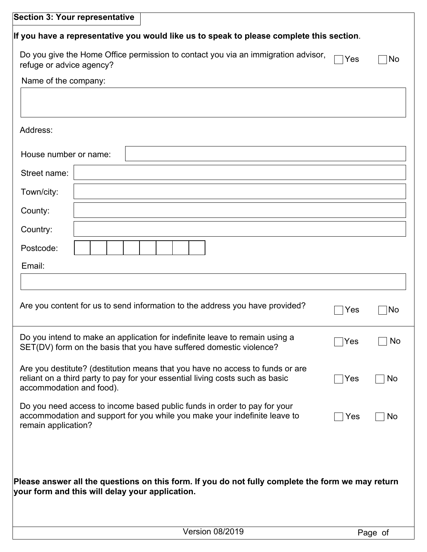| <b>Section 3: Your representative</b> |                                                                                                                                                      |                                                                                                                                                                |     |         |  |  |  |  |  |
|---------------------------------------|------------------------------------------------------------------------------------------------------------------------------------------------------|----------------------------------------------------------------------------------------------------------------------------------------------------------------|-----|---------|--|--|--|--|--|
|                                       |                                                                                                                                                      | If you have a representative you would like us to speak to please complete this section.                                                                       |     |         |  |  |  |  |  |
| refuge or advice agency?              |                                                                                                                                                      | Do you give the Home Office permission to contact you via an immigration advisor,                                                                              | Yes | No      |  |  |  |  |  |
| Name of the company:                  |                                                                                                                                                      |                                                                                                                                                                |     |         |  |  |  |  |  |
|                                       |                                                                                                                                                      |                                                                                                                                                                |     |         |  |  |  |  |  |
|                                       |                                                                                                                                                      |                                                                                                                                                                |     |         |  |  |  |  |  |
| Address:                              |                                                                                                                                                      |                                                                                                                                                                |     |         |  |  |  |  |  |
| House number or name:                 |                                                                                                                                                      |                                                                                                                                                                |     |         |  |  |  |  |  |
| Street name:                          |                                                                                                                                                      |                                                                                                                                                                |     |         |  |  |  |  |  |
| Town/city:                            |                                                                                                                                                      |                                                                                                                                                                |     |         |  |  |  |  |  |
| County:                               |                                                                                                                                                      |                                                                                                                                                                |     |         |  |  |  |  |  |
| Country:                              |                                                                                                                                                      |                                                                                                                                                                |     |         |  |  |  |  |  |
| Postcode:                             |                                                                                                                                                      |                                                                                                                                                                |     |         |  |  |  |  |  |
| Email:                                |                                                                                                                                                      |                                                                                                                                                                |     |         |  |  |  |  |  |
|                                       |                                                                                                                                                      |                                                                                                                                                                |     |         |  |  |  |  |  |
|                                       |                                                                                                                                                      | Are you content for us to send information to the address you have provided?                                                                                   | Yes | No      |  |  |  |  |  |
|                                       |                                                                                                                                                      | Do you intend to make an application for indefinite leave to remain using a<br>SET(DV) form on the basis that you have suffered domestic violence?             | Yes | No      |  |  |  |  |  |
| accommodation and food).              |                                                                                                                                                      | Are you destitute? (destitution means that you have no access to funds or are<br>reliant on a third party to pay for your essential living costs such as basic | Yes | No      |  |  |  |  |  |
| remain application?                   |                                                                                                                                                      | Do you need access to income based public funds in order to pay for your<br>accommodation and support for you while you make your indefinite leave to          | Yes | No      |  |  |  |  |  |
|                                       | Please answer all the questions on this form. If you do not fully complete the form we may return<br>your form and this will delay your application. |                                                                                                                                                                |     |         |  |  |  |  |  |
|                                       |                                                                                                                                                      | <b>Version 08/2019</b>                                                                                                                                         |     | Page of |  |  |  |  |  |